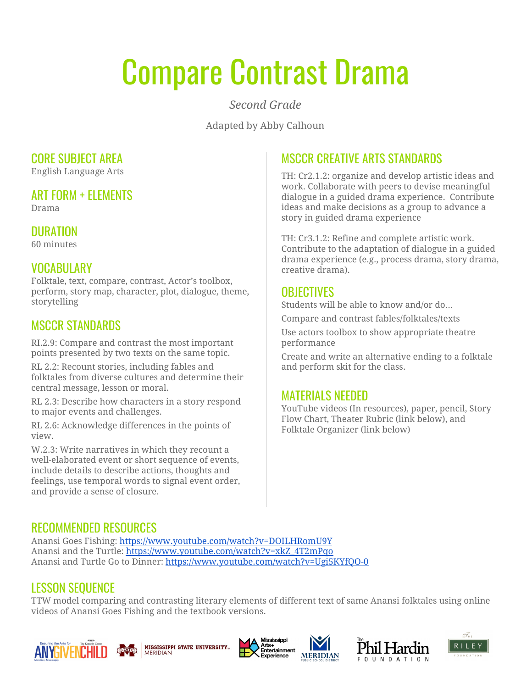# Compare Contrast Drama

*Second Grade*

Adapted by Abby Calhoun

#### CORE SUBJECT AREA

English Language Arts

#### ART FORM + ELEMENTS

Drama

### **DURATION**

60 minutes

### VOCABULARY

Folktale, text, compare, contrast, Actor's toolbox, perform, story map, character, plot, dialogue, theme, storytelling

## MSCCR STANDARDS

RI.2.9: Compare and contrast the most important points presented by two texts on the same topic.

RL 2.2: Recount stories, including fables and folktales from diverse cultures and determine their central message, lesson or moral.

RL 2.3: Describe how characters in a story respond to major events and challenges.

RL 2.6: Acknowledge differences in the points of view.

W.2.3: Write narratives in which they recount a well-elaborated event or short sequence of events, include details to describe actions, thoughts and feelings, use temporal words to signal event order, and provide a sense of closure.

## MSCCR CREATIVE ARTS STANDARDS

TH: Cr2.1.2: organize and develop artistic ideas and work. Collaborate with peers to devise meaningful dialogue in a guided drama experience. Contribute ideas and make decisions as a group to advance a story in guided drama experience

TH: Cr3.1.2: Refine and complete artistic work. Contribute to the adaptation of dialogue in a guided drama experience (e.g., process drama, story drama, creative drama).

### **OBJECTIVES**

Students will be able to know and/or do…

Compare and contrast fables/folktales/texts

Use actors toolbox to show appropriate theatre performance

Create and write an alternative ending to a folktale and perform skit for the class.

#### MATERIALS NEEDED

YouTube videos (In resources), paper, pencil, Story Flow Chart, Theater Rubric (link below), and Folktale Organizer (link below)

#### RECOMMENDED RESOURCES

Anansi Goes Fishing: <https://www.youtube.com/watch?v=DOILHRomU9Y> Anansi and the Turtle: [https://www.youtube.com/watch?v=xkZ\\_4T2mPqo](https://www.youtube.com/watch?v=xkZ_4T2mPqo) Anansi and Turtle Go to Dinner: <https://www.youtube.com/watch?v=Ugi5KYfQO-0>

#### LESSON SEQUENCE

TTW model comparing and contrasting literary elements of different text of same Anansi folktales using online videos of Anansi Goes Fishing and the textbook versions.